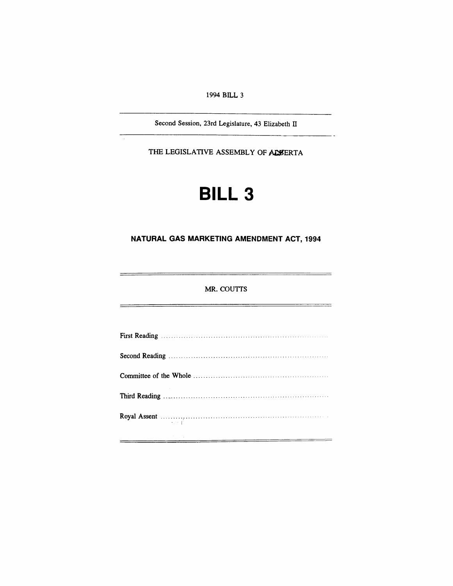1994 **BILL 3**

Second Session, 23rd Legislature, 43 Elizabeth II

THE LEGISLATIVE ASSEMBLY OF ALSERTA

# **BILL 3**

## **NATURAL GAS MARKETING AMENDMENT ACT, 1994**

### MR. COUTTS

| Royal Assent <b>Election</b> Research <b>Royal</b> Assent<br>$\mathcal{L}^{\mathcal{L}}$ , and $\mathcal{L}^{\mathcal{L}}$ , and $\mathcal{L}^{\mathcal{L}}$ |
|--------------------------------------------------------------------------------------------------------------------------------------------------------------|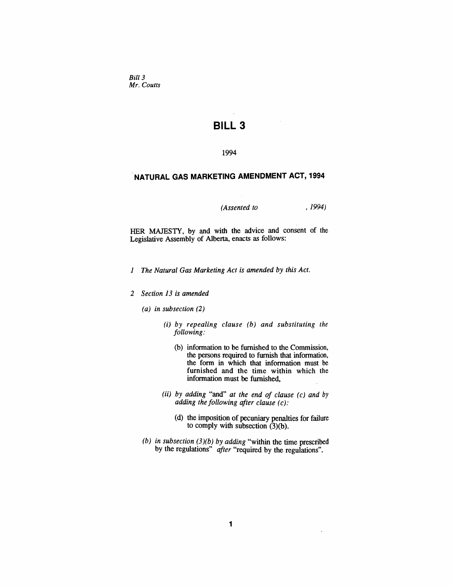*Bill* 3 *Mr. Coutts*

# **BILL 3**

#### 1994

## .**NATURAL GAS MARKETING AMENDMENT ACT, 1994**

#### *(Assented to* ,1994)

HER MAJESTY, by and with the advice and consent of the Legislative Assembly of Alberta, enacts as follows:

- *1 The Natural Gas Marketing Act is amended by this Act.*
- *2 Section* 13 *is amended*
	- *(a) in subsection (2)*
		- *(i) by repealing clause (b) and substituting the following:*
			- (b) information to be furnished to the Commission, the persons required to furnish that information, the form in which that information must be furnished and the time within which the information must be furnished,
		- (ii) *by adding* "and" *at the end of clause (c) and* by *adding the following after clause* (*c):*
			- (d) the imposition of pecuniary penalties for failure to comply with subsection (3)(b).

 $\ddot{\phantom{a}}$ 

*(b) in subsection (3)(b) by adding* "within the time prescribed by the regulations" *after* "required by the regulations".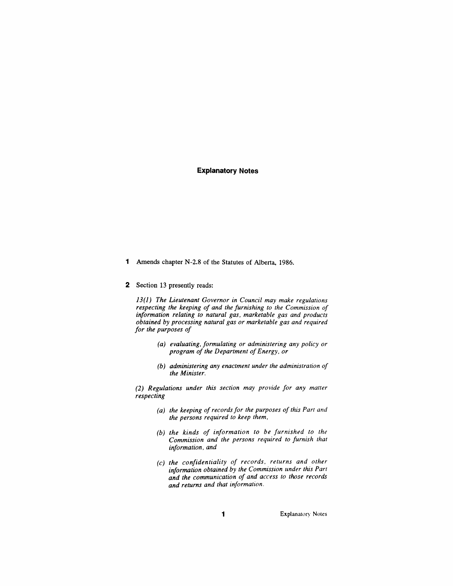#### **Explanatory Notes**

- 1 Amends chapter N-2.8 of the Statutes of Alberta, 1986.
- 2 Section 13 presently reads:

*13(1) The Lieutenant Governor in Council may make regulations respecting the keeping of and the furnishing to the Commission of information relating to natural gas, marketable gas and products obtained by processing natural gas or marketable gas and required for the purposes of*

- *(a) evaluating, formulating or administering any policy or program of the Department of Energy, or*
- *(b) administering any enactment under the administration of the Minister.*

*(2) Regulations under this section may provide for any matter respecting*

- *(a) the keeping ofrecords for the purposes of this Part and the persons required to keep them,*
- *(b) the kinds of information to be furnished to the Commission and the persons required to furnish that information. and*
- *(c) the confidentiality of records. returns and other information obtained by the Commission under this Parr and the communication of and access to those records and returns and that information.*

1 **Explanatory Notes**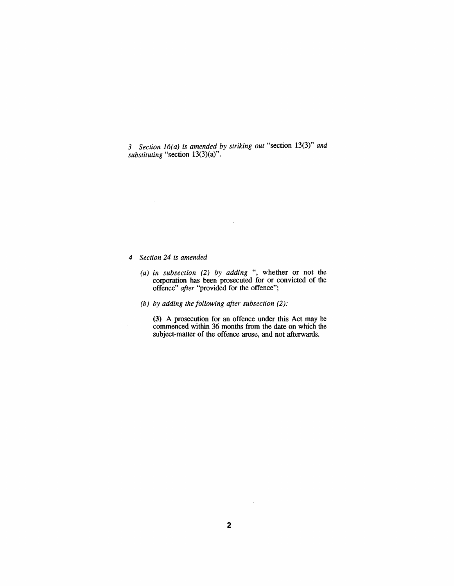*3 Section 16(a) is amended by striking out* "section 13(3)" *and substituting* "section 13(3)(a)".

- *4 Section* 24 *is amended*
	- *(a) in subsection* (2) *by adding* ", whether or not the corporation has been prosecuted for or convicted of the offence" *after* "provided for the offence";

 $\bar{z}$ 

*(b) by adding the following after subsection (2):*

(3) A prosecution for an offence under this Act may be commenced within 36 months from the date on which the subject-matter of the offence arose, and not afterwards.

 $\bar{\beta}$